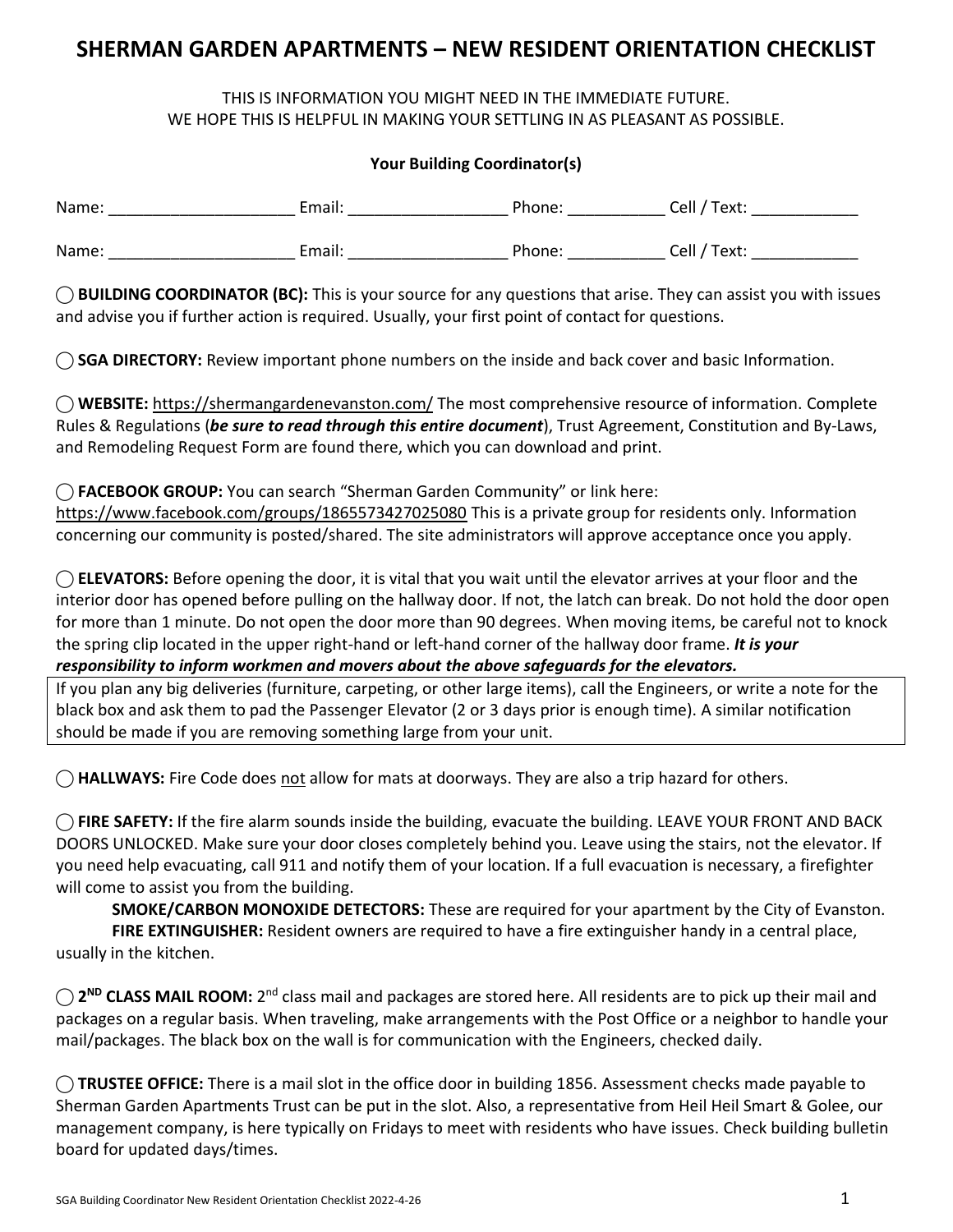# **SHERMAN GARDEN APARTMENTS – NEW RESIDENT ORIENTATION CHECKLIST**

# THIS IS INFORMATION YOU MIGHT NEED IN THE IMMEDIATE FUTURE. WE HOPE THIS IS HELPFUL IN MAKING YOUR SETTLING IN AS PLEASANT AS POSSIBLE.

### **Your Building Coordinator(s)**

| Name: | Email: | Phone: | Cell / Text: |
|-------|--------|--------|--------------|
| Name: | Email: | Phone: | Cell / Text: |

**⃝ BUILDING COORDINATOR (BC):** This is your source for any questions that arise. They can assist you with issues and advise you if further action is required. Usually, your first point of contact for questions.

**⃝ SGA DIRECTORY:** Review important phone numbers on the inside and back cover and basic Information.

**⃝ WEBSITE:** <https://shermangardenevanston.com/> The most comprehensive resource of information. Complete Rules & Regulations (*be sure to read through this entire document*), Trust Agreement, Constitution and By-Laws, and Remodeling Request Form are found there, which you can download and print.

#### **⃝ FACEBOOK GROUP:** You can search "Sherman Garden Community" or link here:

<https://www.facebook.com/groups/1865573427025080> This is a private group for residents only. Information concerning our community is posted/shared. The site administrators will approve acceptance once you apply.

◯ **ELEVATORS:** Before opening the door, it is vital that you wait until the elevator arrives at your floor and the interior door has opened before pulling on the hallway door. If not, the latch can break. Do not hold the door open for more than 1 minute. Do not open the door more than 90 degrees. When moving items, be careful not to knock the spring clip located in the upper right-hand or left-hand corner of the hallway door frame. *It is your responsibility to inform workmen and movers about the above safeguards for the elevators.*

If you plan any big deliveries (furniture, carpeting, or other large items), call the Engineers, or write a note for the black box and ask them to pad the Passenger Elevator (2 or 3 days prior is enough time). A similar notification should be made if you are removing something large from your unit.

⃝ **HALLWAYS:** Fire Code does not allow for mats at doorways. They are also a trip hazard for others.

⃝ **FIRE SAFETY:** If the fire alarm sounds inside the building, evacuate the building. LEAVE YOUR FRONT AND BACK DOORS UNLOCKED. Make sure your door closes completely behind you. Leave using the stairs, not the elevator. If you need help evacuating, call 911 and notify them of your location. If a full evacuation is necessary, a firefighter will come to assist you from the building.

**SMOKE/CARBON MONOXIDE DETECTORS:** These are required for your apartment by the City of Evanston. **FIRE EXTINGUISHER:** Resident owners are required to have a fire extinguisher handy in a central place, usually in the kitchen.

◯ 2<sup>ND</sup> CLASS MAIL ROOM: 2<sup>nd</sup> class mail and packages are stored here. All residents are to pick up their mail and packages on a regular basis. When traveling, make arrangements with the Post Office or a neighbor to handle your mail/packages. The black box on the wall is for communication with the Engineers, checked daily.

**⃝ TRUSTEE OFFICE:** There is a mail slot in the office door in building 1856. Assessment checks made payable to Sherman Garden Apartments Trust can be put in the slot. Also, a representative from Heil Heil Smart & Golee, our management company, is here typically on Fridays to meet with residents who have issues. Check building bulletin board for updated days/times.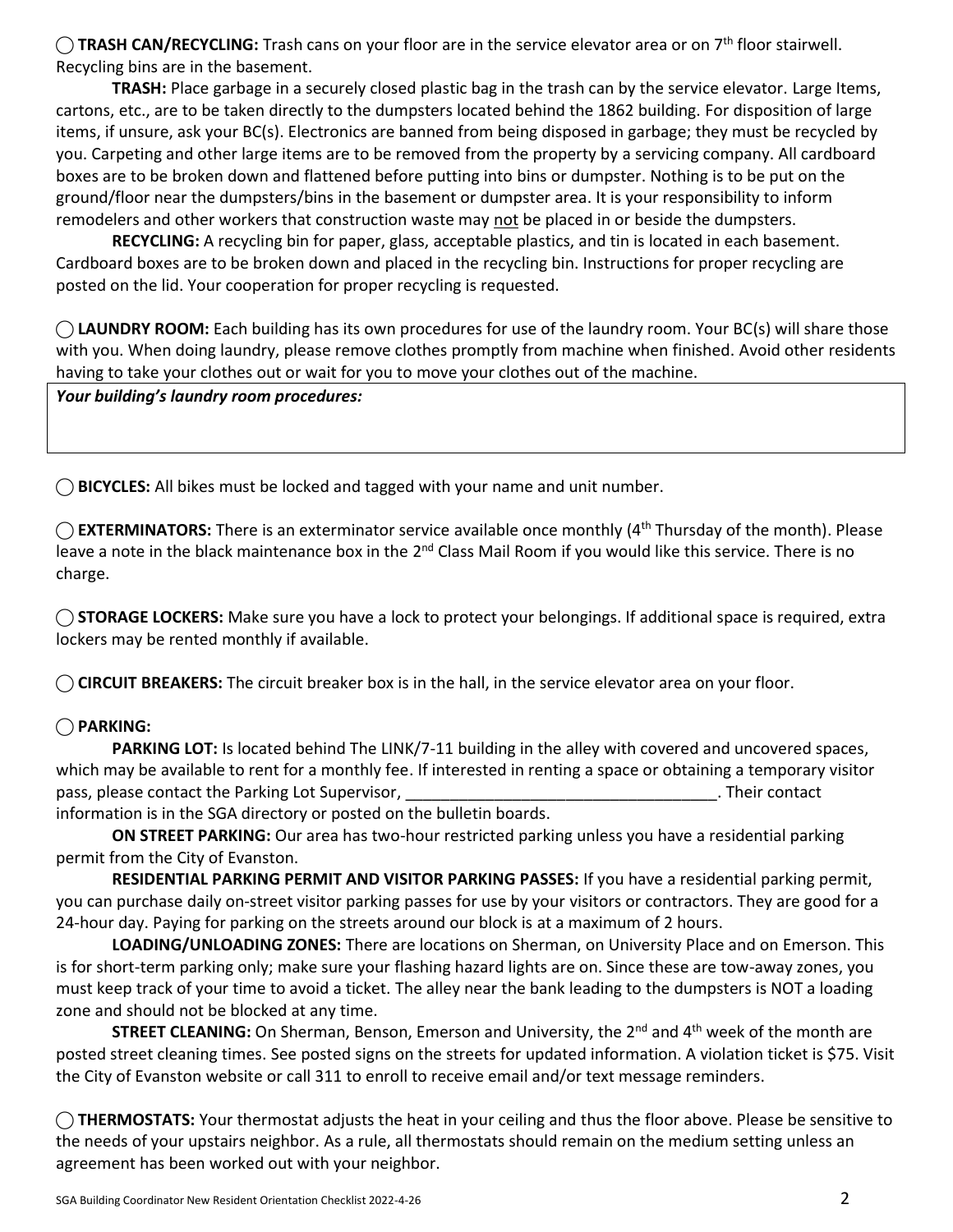◯ TRASH CAN/RECYCLING: Trash cans on your floor are in the service elevator area or on 7<sup>th</sup> floor stairwell. Recycling bins are in the basement.

**TRASH:** Place garbage in a securely closed plastic bag in the trash can by the service elevator. Large Items, cartons, etc., are to be taken directly to the dumpsters located behind the 1862 building. For disposition of large items, if unsure, ask your BC(s). Electronics are banned from being disposed in garbage; they must be recycled by you. Carpeting and other large items are to be removed from the property by a servicing company. All cardboard boxes are to be broken down and flattened before putting into bins or dumpster. Nothing is to be put on the ground/floor near the dumpsters/bins in the basement or dumpster area. It is your responsibility to inform remodelers and other workers that construction waste may not be placed in or beside the dumpsters.

**RECYCLING:** A recycling bin for paper, glass, acceptable plastics, and tin is located in each basement. Cardboard boxes are to be broken down and placed in the recycling bin. Instructions for proper recycling are posted on the lid. Your cooperation for proper recycling is requested.

◯ **LAUNDRY ROOM:** Each building has its own procedures for use of the laundry room. Your BC(s) will share those with you. When doing laundry, please remove clothes promptly from machine when finished. Avoid other residents having to take your clothes out or wait for you to move your clothes out of the machine.

*Your building's laundry room procedures:*

**⃝ BICYCLES:** All bikes must be locked and tagged with your name and unit number.

◯ **EXTERMINATORS:** There is an exterminator service available once monthly (4<sup>th</sup> Thursday of the month). Please leave a note in the black maintenance box in the 2<sup>nd</sup> Class Mail Room if you would like this service. There is no charge.

◯ **STORAGE LOCKERS:** Make sure you have a lock to protect your belongings. If additional space is required, extra lockers may be rented monthly if available.

**⃝ CIRCUIT BREAKERS:** The circuit breaker box is in the hall, in the service elevator area on your floor.

# **⃝ PARKING:**

**PARKING LOT:** Is located behind The LINK/7-11 building in the alley with covered and uncovered spaces, which may be available to rent for a monthly fee. If interested in renting a space or obtaining a temporary visitor pass, please contact the Parking Lot Supervisor, **we can also contact and all participates** of the Parking Lot Supervisor,

information is in the SGA directory or posted on the bulletin boards.

**ON STREET PARKING:** Our area has two-hour restricted parking unless you have a residential parking permit from the City of Evanston.

**RESIDENTIAL PARKING PERMIT AND VISITOR PARKING PASSES:** If you have a residential parking permit, you can purchase daily on-street visitor parking passes for use by your visitors or contractors. They are good for a 24-hour day. Paying for parking on the streets around our block is at a maximum of 2 hours.

**LOADING/UNLOADING ZONES:** There are locations on Sherman, on University Place and on Emerson. This is for short-term parking only; make sure your flashing hazard lights are on. Since these are tow-away zones, you must keep track of your time to avoid a ticket. The alley near the bank leading to the dumpsters is NOT a loading zone and should not be blocked at any time.

**STREET CLEANING:** On Sherman, Benson, Emerson and University, the 2<sup>nd</sup> and 4<sup>th</sup> week of the month are posted street cleaning times. See posted signs on the streets for updated information. A violation ticket is \$75. Visit the City of Evanston website or call 311 to enroll to receive email and/or text message reminders.

**⃝ THERMOSTATS:** Your thermostat adjusts the heat in your ceiling and thus the floor above. Please be sensitive to the needs of your upstairs neighbor. As a rule, all thermostats should remain on the medium setting unless an agreement has been worked out with your neighbor.